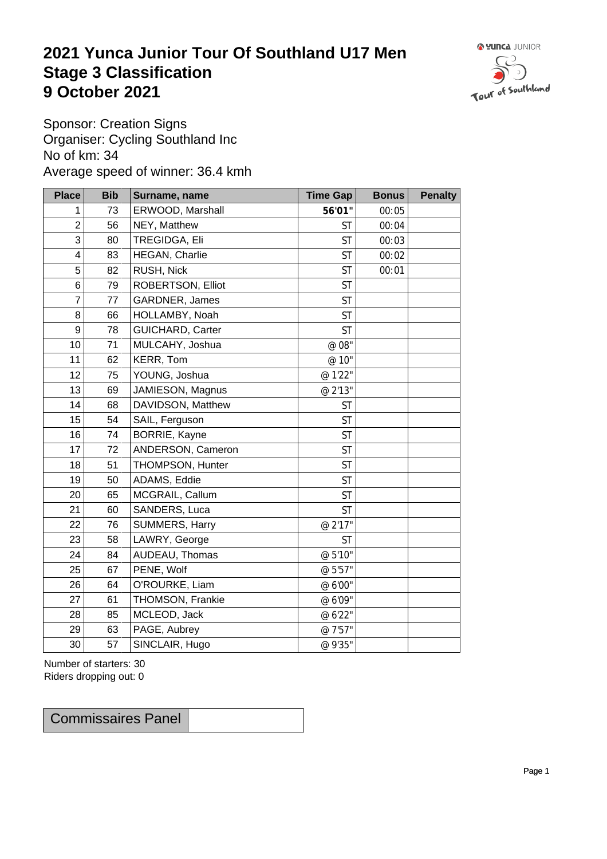## **2021 Yunca Junior Tour Of Southland U17 Men** Stage 3 Classification<br>9 October 2021 **9 October 2021**



Sponsor: Creation Signs Organiser: Cycling Southland Inc No of km: 34 Average speed of winner: 36.4 kmh

| <b>Place</b>     | <b>Bib</b> | Surname, name     | <b>Time Gap</b> | <b>Bonus</b> | <b>Penalty</b> |
|------------------|------------|-------------------|-----------------|--------------|----------------|
| 1                | 73         | ERWOOD, Marshall  | 56'01"          | 00:05        |                |
| $\boldsymbol{2}$ | 56         | NEY, Matthew      | <b>ST</b>       | 00:04        |                |
| 3                | 80         | TREGIDGA, Eli     | <b>ST</b>       | 00:03        |                |
| 4                | 83         | HEGAN, Charlie    | <b>ST</b>       | 00:02        |                |
| $\sqrt{5}$       | 82         | RUSH, Nick        | <b>ST</b>       | 00:01        |                |
| $\,6$            | 79         | ROBERTSON, Elliot | <b>ST</b>       |              |                |
| $\overline{7}$   | 77         | GARDNER, James    | <b>ST</b>       |              |                |
| 8                | 66         | HOLLAMBY, Noah    | <b>ST</b>       |              |                |
| $\boldsymbol{9}$ | 78         | GUICHARD, Carter  | <b>ST</b>       |              |                |
| 10               | 71         | MULCAHY, Joshua   | @ 08"           |              |                |
| 11               | 62         | KERR, Tom         | @ 10"           |              |                |
| 12               | 75         | YOUNG, Joshua     | @ 1'22"         |              |                |
| 13               | 69         | JAMIESON, Magnus  | @ 2'13"         |              |                |
| 14               | 68         | DAVIDSON, Matthew | <b>ST</b>       |              |                |
| 15               | 54         | SAIL, Ferguson    | <b>ST</b>       |              |                |
| 16               | 74         | BORRIE, Kayne     | <b>ST</b>       |              |                |
| 17               | 72         | ANDERSON, Cameron | <b>ST</b>       |              |                |
| 18               | 51         | THOMPSON, Hunter  | <b>ST</b>       |              |                |
| 19               | 50         | ADAMS, Eddie      | <b>ST</b>       |              |                |
| 20               | 65         | MCGRAIL, Callum   | <b>ST</b>       |              |                |
| 21               | 60         | SANDERS, Luca     | <b>ST</b>       |              |                |
| 22               | 76         | SUMMERS, Harry    | @ 2'17"         |              |                |
| 23               | 58         | LAWRY, George     | ST              |              |                |
| 24               | 84         | AUDEAU, Thomas    | @ 5'10"         |              |                |
| 25               | 67         | PENE, Wolf        | @ 5'57"         |              |                |
| 26               | 64         | O'ROURKE, Liam    | @ 6'00"         |              |                |
| 27               | 61         | THOMSON, Frankie  | @ 6'09"         |              |                |
| 28               | 85         | MCLEOD, Jack      | @ 6'22"         |              |                |
| 29               | 63         | PAGE, Aubrey      | @ 7'57"         |              |                |
| 30               | 57         | SINCLAIR, Hugo    | @ 9'35"         |              |                |

Number of starters: 30 Riders dropping out: 0

Commissaires Panel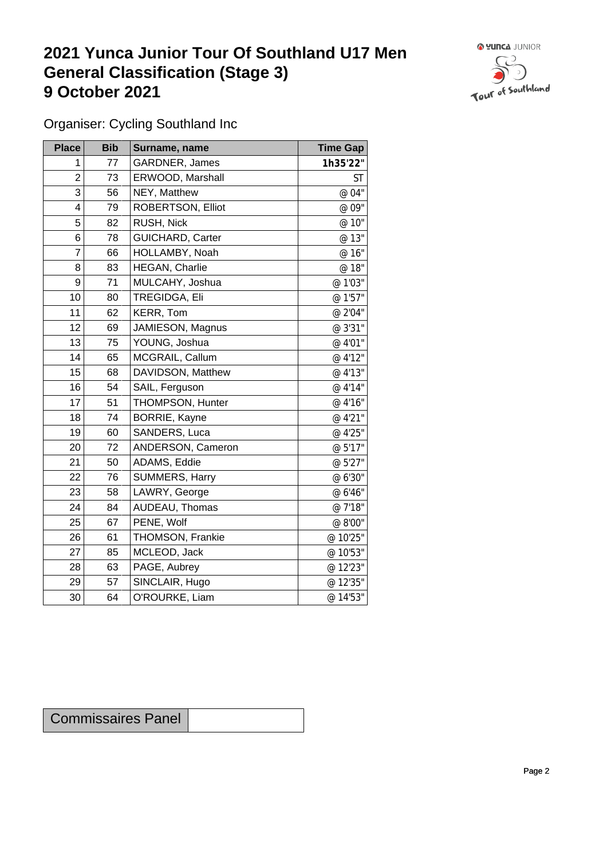## **2021 Yunca Junior Tour Of Southland U17 Men General Classification (Stage 3)**<br> **9 October 2021 9 October 2021**



Organiser: Cycling Southland Inc

| <b>Place</b>     | <b>Bib</b> | Surname, name        | <b>Time Gap</b> |
|------------------|------------|----------------------|-----------------|
| 1                | 77         | GARDNER, James       | 1h35'22"        |
| $\overline{2}$   | 73         | ERWOOD, Marshall     | ST              |
| 3                | 56         | NEY, Matthew         | @ 04"           |
| 4                | 79         | ROBERTSON, Elliot    | @ 09"           |
| 5                | 82         | RUSH, Nick           | @ 10"           |
| 6                | 78         | GUICHARD, Carter     | @ 13"           |
| $\overline{7}$   | 66         | HOLLAMBY, Noah       | @ 16"           |
| 8                | 83         | HEGAN, Charlie       | @ 18"           |
| $\boldsymbol{9}$ | 71         | MULCAHY, Joshua      | @ 1'03"         |
| 10               | 80         | TREGIDGA, Eli        | @ 1'57"         |
| 11               | 62         | KERR, Tom            | @ 2'04"         |
| 12               | 69         | JAMIESON, Magnus     | @ 3'31"         |
| 13               | 75         | YOUNG, Joshua        | @ 4'01"         |
| 14               | 65         | MCGRAIL, Callum      | @ 4'12"         |
| 15               | 68         | DAVIDSON, Matthew    | @ 4'13"         |
| 16               | 54         | SAIL, Ferguson       | @ 4'14"         |
| 17               | 51         | THOMPSON, Hunter     | @ 4'16"         |
| 18               | 74         | <b>BORRIE, Kayne</b> | @ 4'21"         |
| 19               | 60         | SANDERS, Luca        | @ 4'25"         |
| 20               | 72         | ANDERSON, Cameron    | @ 5'17"         |
| 21               | 50         | ADAMS, Eddie         | @ 5'27"         |
| 22               | 76         | SUMMERS, Harry       | @ 6'30"         |
| 23               | 58         | LAWRY, George        | @ 6'46"         |
| 24               | 84         | AUDEAU, Thomas       | @ 7'18"         |
| 25               | 67         | PENE, Wolf           | @ 8'00"         |
| 26               | 61         | THOMSON, Frankie     | @ 10'25"        |
| 27               | 85         | MCLEOD, Jack         | @ 10'53"        |
| 28               | 63         | PAGE, Aubrey         | @ 12'23"        |
| 29               | 57         | SINCLAIR, Hugo       | @ 12'35"        |
| 30               | 64         | O'ROURKE, Liam       | @ 14'53"        |

| <b>Commissaires Panel</b> |  |
|---------------------------|--|
|---------------------------|--|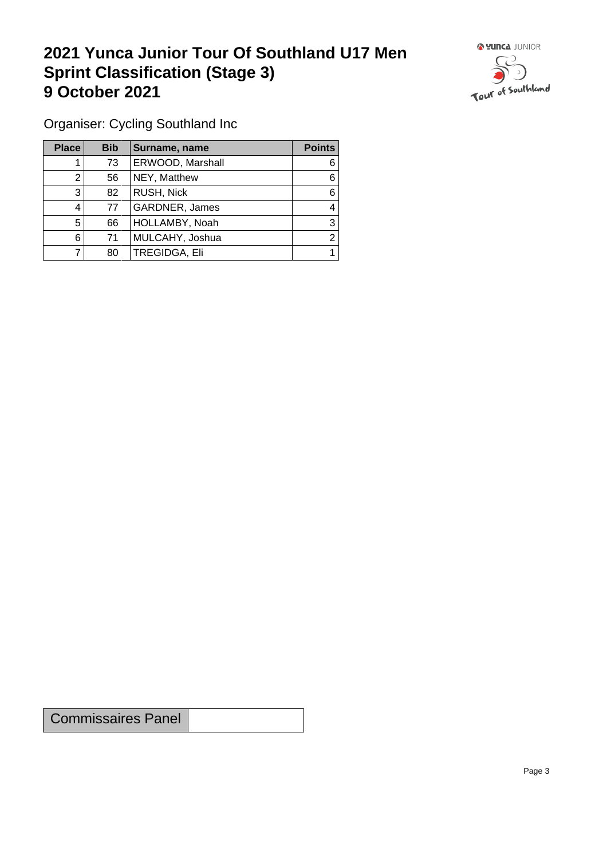## **2021 Yunca Junior Tour Of Southland U17 Men Sprint Classification (Stage 3) 9 October 2021 19 October 2021**



Organiser: Cycling Southland Inc

| <b>Place</b> | <b>Bib</b> | Surname, name    | <b>Points</b> |
|--------------|------------|------------------|---------------|
|              | 73         | ERWOOD, Marshall | 6             |
|              | 56         | NEY, Matthew     | 6             |
| 3            | 82         | RUSH, Nick       | 6             |
| 4            | 77         | GARDNER, James   | 4             |
| 5            | 66         | HOLLAMBY, Noah   | 3             |
| 6            | 71         | MULCAHY, Joshua  | າ             |
|              | 80         | TREGIDGA, Eli    |               |

Commissaires Panel